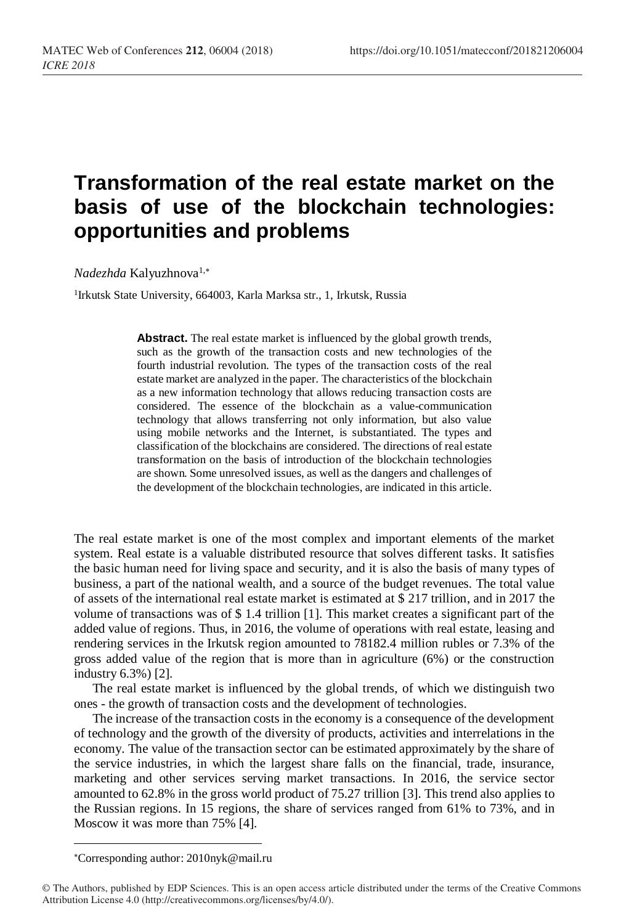## **Transformation of the real estate market on the basis of use of the blockchain technologies: opportunities and problems**

*Nadezhda* Kalyuzhnova<sup>1,\*</sup>

<sup>1</sup>Irkutsk State University, 664003, Karla Marksa str., 1, Irkutsk, Russia

**Abstract.** The real estate market is influenced by the global growth trends, such as the growth of the transaction costs and new technologies of the fourth industrial revolution. The types of the transaction costs of the real estate market are analyzed in the paper. The characteristics of the blockchain as a new information technology that allows reducing transaction costs are considered. The essence of the blockchain as a value-communication technology that allows transferring not only information, but also value using mobile networks and the Internet, is substantiated. The types and classification of the blockchains are considered. The directions of real estate transformation on the basis of introduction of the blockchain technologies are shown. Some unresolved issues, as well as the dangers and challenges of the development of the blockchain technologies, are indicated in this article.

The real estate market is one of the most complex and important elements of the market system. Real estate is a valuable distributed resource that solves different tasks. It satisfies the basic human need for living space and security, and it is also the basis of many types of business, a part of the national wealth, and a source of the budget revenues. The total value of assets of the international real estate market is estimated at \$ 217 trillion, and in 2017 the volume of transactions was of \$ 1.4 trillion [1]. This market creates a significant part of the added value of regions. Thus, in 2016, the volume of operations with real estate, leasing and rendering services in the Irkutsk region amounted to 78182.4 million rubles or 7.3% of the gross added value of the region that is more than in agriculture (6%) or the construction industry 6.3%) [2].

The real estate market is influenced by the global trends, of which we distinguish two ones - the growth of transaction costs and the development of technologies.

The increase of the transaction costs in the economy is a consequence of the development of technology and the growth of the diversity of products, activities and interrelations in the economy. The value of the transaction sector can be estimated approximately by the share of the service industries, in which the largest share falls on the financial, trade, insurance, marketing and other services serving market transactions. In 2016, the service sector amounted to 62.8% in the gross world product of 75.27 trillion [3]. This trend also applies to the Russian regions. In 15 regions, the share of services ranged from 61% to 73%, and in Moscow it was more than 75% [4].

 $\overline{\phantom{a}}$ 

Corresponding author: 2010nyk@mail.ru

<sup>©</sup> The Authors, published by EDP Sciences. This is an open access article distributed under the terms of the Creative Commons Attribution License 4.0 (http://creativecommons.org/licenses/by/4.0/).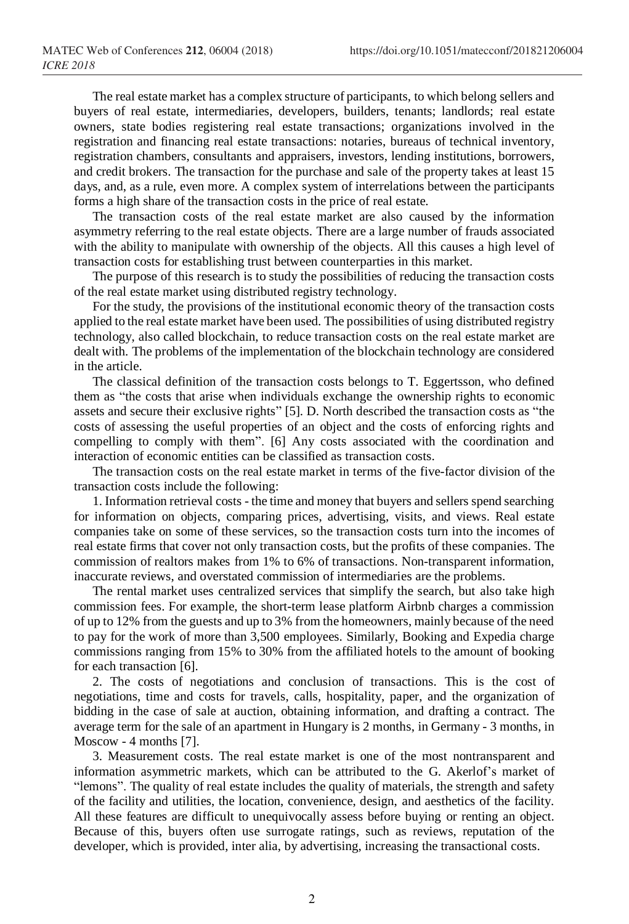The real estate market has a complex structure of participants, to which belong sellers and buyers of real estate, intermediaries, developers, builders, tenants; landlords; real estate owners, state bodies registering real estate transactions; organizations involved in the registration and financing real estate transactions: notaries, bureaus of technical inventory, registration chambers, consultants and appraisers, investors, lending institutions, borrowers, and credit brokers. The transaction for the purchase and sale of the property takes at least 15 days, and, as a rule, even more. A complex system of interrelations between the participants forms a high share of the transaction costs in the price of real estate.

The transaction costs of the real estate market are also caused by the information asymmetry referring to the real estate objects. There are a large number of frauds associated with the ability to manipulate with ownership of the objects. All this causes a high level of transaction costs for establishing trust between counterparties in this market.

The purpose of this research is to study the possibilities of reducing the transaction costs of the real estate market using distributed registry technology.

For the study, the provisions of the institutional economic theory of the transaction costs applied to the real estate market have been used. The possibilities of using distributed registry technology, also called blockchain, to reduce transaction costs on the real estate market are dealt with. The problems of the implementation of the blockchain technology are considered in the article.

The classical definition of the transaction costs belongs to T. Eggertsson, who defined them as "the costs that arise when individuals exchange the ownership rights to economic assets and secure their exclusive rights" [5]. D. North described the transaction costs as "the costs of assessing the useful properties of an object and the costs of enforcing rights and compelling to comply with them". [6] Any costs associated with the coordination and interaction of economic entities can be classified as transaction costs.

The transaction costs on the real estate market in terms of the five-factor division of the transaction costs include the following:

1. Information retrieval costs - the time and money that buyers and sellers spend searching for information on objects, comparing prices, advertising, visits, and views. Real estate companies take on some of these services, so the transaction costs turn into the incomes of real estate firms that cover not only transaction costs, but the profits of these companies. The commission of realtors makes from 1% to 6% of transactions. Non-transparent information, inaccurate reviews, and overstated commission of intermediaries are the problems.

The rental market uses centralized services that simplify the search, but also take high commission fees. For example, the short-term lease platform Airbnb charges a commission of up to 12% from the guests and up to 3% from the homeowners, mainly because of the need to pay for the work of more than 3,500 employees. Similarly, Booking and Expedia charge commissions ranging from 15% to 30% from the affiliated hotels to the amount of booking for each transaction [6].

2. The costs of negotiations and conclusion of transactions. This is the cost of negotiations, time and costs for travels, calls, hospitality, paper, and the organization of bidding in the case of sale at auction, obtaining information, and drafting a contract. The average term for the sale of an apartment in Hungary is 2 months, in Germany - 3 months, in Moscow - 4 months [7].

3. Measurement costs. The real estate market is one of the most nontransparent and information asymmetric markets, which can be attributed to the G. Akerlof's market of "lemons". The quality of real estate includes the quality of materials, the strength and safety of the facility and utilities, the location, convenience, design, and aesthetics of the facility. All these features are difficult to unequivocally assess before buying or renting an object. Because of this, buyers often use surrogate ratings, such as reviews, reputation of the developer, which is provided, inter alia, by advertising, increasing the transactional costs.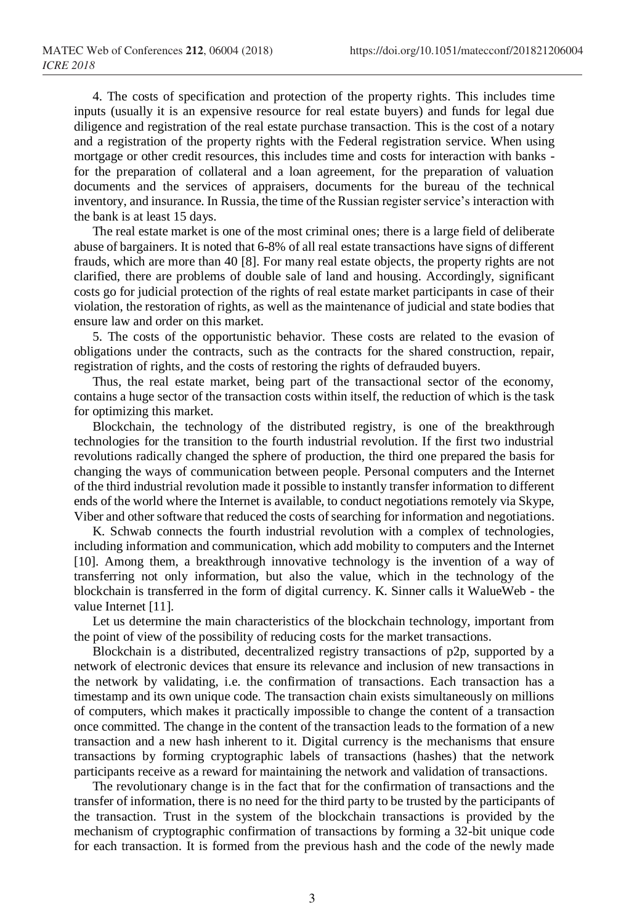4. The costs of specification and protection of the property rights. This includes time inputs (usually it is an expensive resource for real estate buyers) and funds for legal due diligence and registration of the real estate purchase transaction. This is the cost of a notary and a registration of the property rights with the Federal registration service. When using mortgage or other credit resources, this includes time and costs for interaction with banks for the preparation of collateral and a loan agreement, for the preparation of valuation documents and the services of appraisers, documents for the bureau of the technical inventory, and insurance. In Russia, the time of the Russian register service's interaction with the bank is at least 15 days.

The real estate market is one of the most criminal ones; there is a large field of deliberate abuse of bargainers. It is noted that 6-8% of all real estate transactions have signs of different frauds, which are more than 40 [8]. For many real estate objects, the property rights are not clarified, there are problems of double sale of land and housing. Accordingly, significant costs go for judicial protection of the rights of real estate market participants in case of their violation, the restoration of rights, as well as the maintenance of judicial and state bodies that ensure law and order on this market.

5. The costs of the opportunistic behavior. These costs are related to the evasion of obligations under the contracts, such as the contracts for the shared construction, repair, registration of rights, and the costs of restoring the rights of defrauded buyers.

Thus, the real estate market, being part of the transactional sector of the economy, contains a huge sector of the transaction costs within itself, the reduction of which is the task for optimizing this market.

Blockchain, the technology of the distributed registry, is one of the breakthrough technologies for the transition to the fourth industrial revolution. If the first two industrial revolutions radically changed the sphere of production, the third one prepared the basis for changing the ways of communication between people. Personal computers and the Internet of the third industrial revolution made it possible to instantly transfer information to different ends of the world where the Internet is available, to conduct negotiations remotely via Skype, Viber and other software that reduced the costs of searching for information and negotiations.

K. Schwab connects the fourth industrial revolution with a complex of technologies, including information and communication, which add mobility to computers and the Internet [10]. Among them, a breakthrough innovative technology is the invention of a way of transferring not only information, but also the value, which in the technology of the blockchain is transferred in the form of digital currency. K. Sinner calls it WalueWeb - the value Internet [11].

Let us determine the main characteristics of the blockchain technology, important from the point of view of the possibility of reducing costs for the market transactions.

Blockchain is a distributed, decentralized registry transactions of p2p, supported by a network of electronic devices that ensure its relevance and inclusion of new transactions in the network by validating, i.e. the confirmation of transactions. Each transaction has a timestamp and its own unique code. The transaction chain exists simultaneously on millions of computers, which makes it practically impossible to change the content of a transaction once committed. The change in the content of the transaction leads to the formation of a new transaction and a new hash inherent to it. Digital currency is the mechanisms that ensure transactions by forming cryptographic labels of transactions (hashes) that the network participants receive as a reward for maintaining the network and validation of transactions.

The revolutionary change is in the fact that for the confirmation of transactions and the transfer of information, there is no need for the third party to be trusted by the participants of the transaction. Trust in the system of the blockchain transactions is provided by the mechanism of cryptographic confirmation of transactions by forming a 32-bit unique code for each transaction. It is formed from the previous hash and the code of the newly made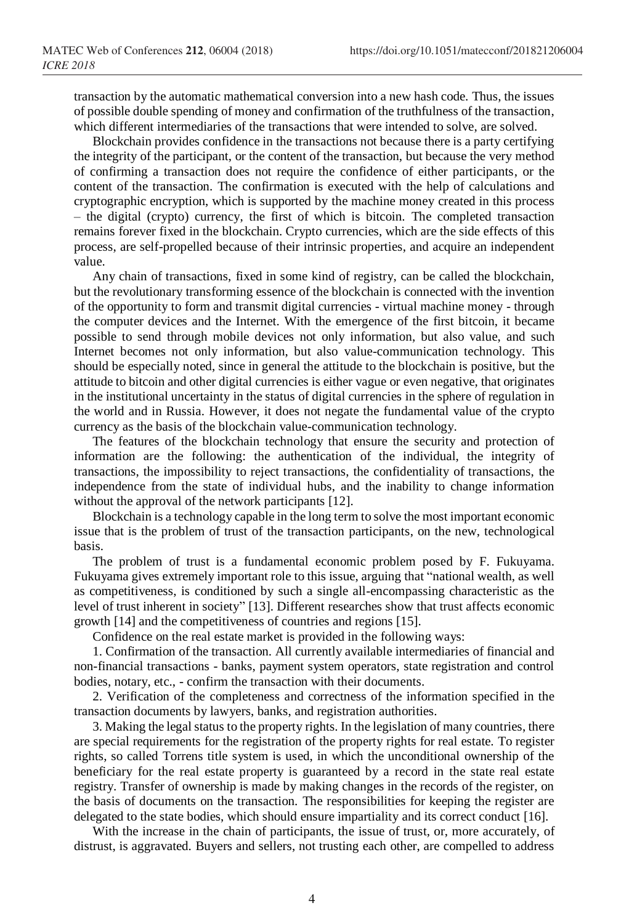transaction by the automatic mathematical conversion into a new hash code. Thus, the issues of possible double spending of money and confirmation of the truthfulness of the transaction, which different intermediaries of the transactions that were intended to solve, are solved.

Blockchain provides confidence in the transactions not because there is a party certifying the integrity of the participant, or the content of the transaction, but because the very method of confirming a transaction does not require the confidence of either participants, or the content of the transaction. The confirmation is executed with the help of calculations and cryptographic encryption, which is supported by the machine money created in this process – the digital (crypto) currency, the first of which is bitcoin. The completed transaction remains forever fixed in the blockchain. Crypto currencies, which are the side effects of this process, are self-propelled because of their intrinsic properties, and acquire an independent value.

Any chain of transactions, fixed in some kind of registry, can be called the blockchain, but the revolutionary transforming essence of the blockchain is connected with the invention of the opportunity to form and transmit digital currencies - virtual machine money - through the computer devices and the Internet. With the emergence of the first bitcoin, it became possible to send through mobile devices not only information, but also value, and such Internet becomes not only information, but also value-communication technology. This should be especially noted, since in general the attitude to the blockchain is positive, but the attitude to bitcoin and other digital currencies is either vague or even negative, that originates in the institutional uncertainty in the status of digital currencies in the sphere of regulation in the world and in Russia. However, it does not negate the fundamental value of the crypto currency as the basis of the blockchain value-communication technology.

The features of the blockchain technology that ensure the security and protection of information are the following: the authentication of the individual, the integrity of transactions, the impossibility to reject transactions, the confidentiality of transactions, the independence from the state of individual hubs, and the inability to change information without the approval of the network participants [12].

Blockchain is a technology capable in the long term to solve the most important economic issue that is the problem of trust of the transaction participants, on the new, technological basis.

The problem of trust is a fundamental economic problem posed by F. Fukuyama. Fukuyama gives extremely important role to this issue, arguing that "national wealth, as well as competitiveness, is conditioned by such a single all-encompassing characteristic as the level of trust inherent in society" [13]. Different researches show that trust affects economic growth [14] and the competitiveness of countries and regions [15].

Confidence on the real estate market is provided in the following ways:

1. Confirmation of the transaction. All currently available intermediaries of financial and non-financial transactions - banks, payment system operators, state registration and control bodies, notary, etc., - confirm the transaction with their documents.

2. Verification of the completeness and correctness of the information specified in the transaction documents by lawyers, banks, and registration authorities.

3. Making the legal status to the property rights. In the legislation of many countries, there are special requirements for the registration of the property rights for real estate. To register rights, so called Torrens title system is used, in which the unconditional ownership of the beneficiary for the real estate property is guaranteed by a record in the state real estate registry. Transfer of ownership is made by making changes in the records of the register, on the basis of documents on the transaction. The responsibilities for keeping the register are delegated to the state bodies, which should ensure impartiality and its correct conduct [16].

With the increase in the chain of participants, the issue of trust, or, more accurately, of distrust, is aggravated. Buyers and sellers, not trusting each other, are compelled to address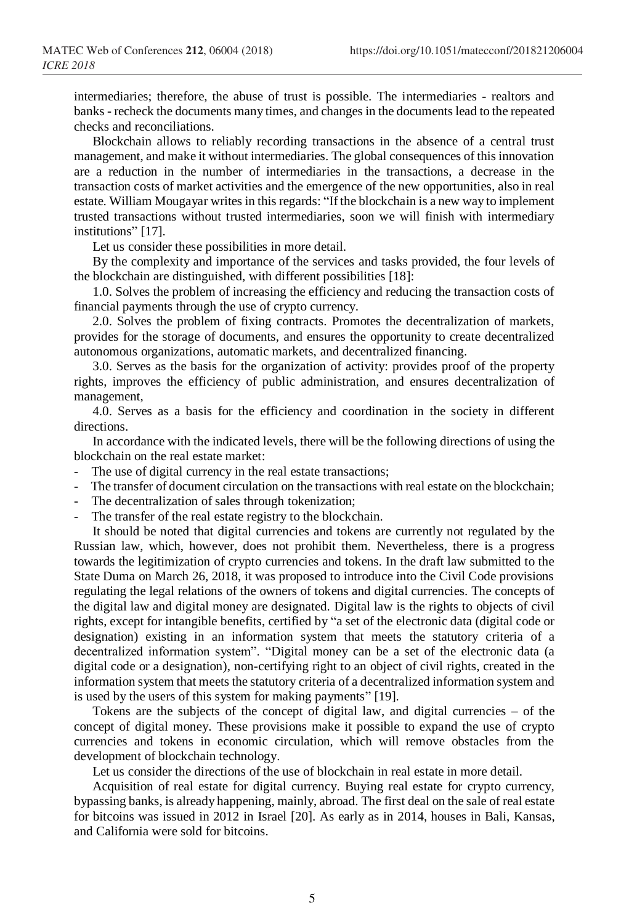intermediaries; therefore, the abuse of trust is possible. The intermediaries - realtors and banks - recheck the documents many times, and changes in the documents lead to the repeated checks and reconciliations.

Blockchain allows to reliably recording transactions in the absence of a central trust management, and make it without intermediaries. The global consequences of this innovation are a reduction in the number of intermediaries in the transactions, a decrease in the transaction costs of market activities and the emergence of the new opportunities, also in real estate. William Mougayar writes in this regards: "If the blockchain is a new way to implement trusted transactions without trusted intermediaries, soon we will finish with intermediary institutions" [17].

Let us consider these possibilities in more detail.

By the complexity and importance of the services and tasks provided, the four levels of the blockchain are distinguished, with different possibilities [18]:

1.0. Solves the problem of increasing the efficiency and reducing the transaction costs of financial payments through the use of crypto currency.

2.0. Solves the problem of fixing contracts. Promotes the decentralization of markets, provides for the storage of documents, and ensures the opportunity to create decentralized autonomous organizations, automatic markets, and decentralized financing.

3.0. Serves as the basis for the organization of activity: provides proof of the property rights, improves the efficiency of public administration, and ensures decentralization of management,

4.0. Serves as a basis for the efficiency and coordination in the society in different directions.

In accordance with the indicated levels, there will be the following directions of using the blockchain on the real estate market:

- The use of digital currency in the real estate transactions;
- The transfer of document circulation on the transactions with real estate on the blockchain;
- The decentralization of sales through tokenization;
- The transfer of the real estate registry to the blockchain.

It should be noted that digital currencies and tokens are currently not regulated by the Russian law, which, however, does not prohibit them. Nevertheless, there is a progress towards the legitimization of crypto currencies and tokens. In the draft law submitted to the State Duma on March 26, 2018, it was proposed to introduce into the Civil Code provisions regulating the legal relations of the owners of tokens and digital currencies. The concepts of the digital law and digital money are designated. Digital law is the rights to objects of civil rights, except for intangible benefits, certified by "a set of the electronic data (digital code or designation) existing in an information system that meets the statutory criteria of a decentralized information system". "Digital money can be a set of the electronic data (a digital code or a designation), non-certifying right to an object of civil rights, created in the information system that meets the statutory criteria of a decentralized information system and is used by the users of this system for making payments" [19].

Tokens are the subjects of the concept of digital law, and digital currencies – of the concept of digital money. These provisions make it possible to expand the use of crypto currencies and tokens in economic circulation, which will remove obstacles from the development of blockchain technology.

Let us consider the directions of the use of blockchain in real estate in more detail.

Acquisition of real estate for digital currency. Buying real estate for crypto currency, bypassing banks, is already happening, mainly, abroad. The first deal on the sale of real estate for bitcoins was issued in 2012 in Israel [20]. As early as in 2014, houses in Bali, Kansas, and California were sold for bitcoins.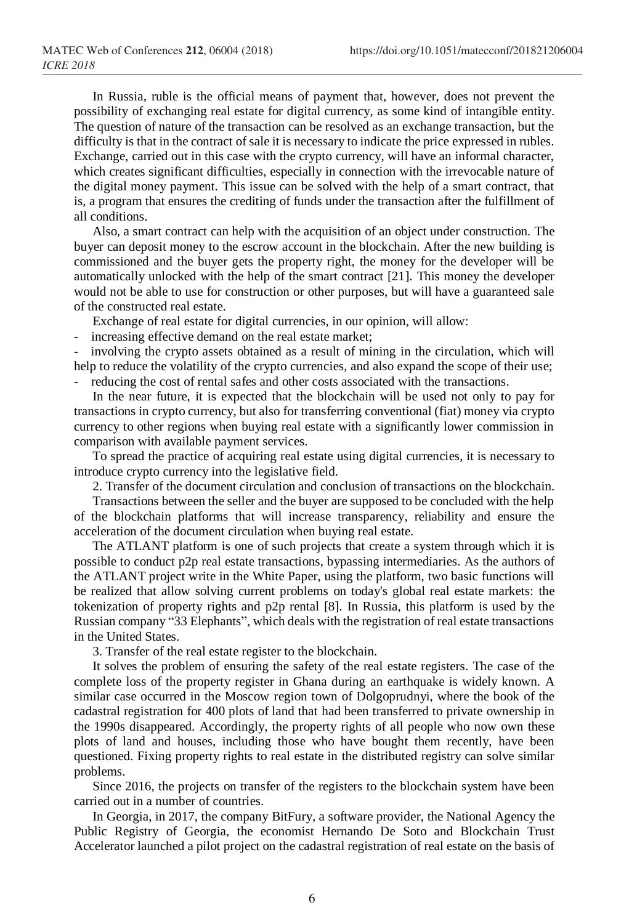In Russia, ruble is the official means of payment that, however, does not prevent the possibility of exchanging real estate for digital currency, as some kind of intangible entity. The question of nature of the transaction can be resolved as an exchange transaction, but the difficulty is that in the contract of sale it is necessary to indicate the price expressed in rubles. Exchange, carried out in this case with the crypto currency, will have an informal character, which creates significant difficulties, especially in connection with the irrevocable nature of the digital money payment. This issue can be solved with the help of a smart contract, that is, a program that ensures the crediting of funds under the transaction after the fulfillment of all conditions.

Also, a smart contract can help with the acquisition of an object under construction. The buyer can deposit money to the escrow account in the blockchain. After the new building is commissioned and the buyer gets the property right, the money for the developer will be automatically unlocked with the help of the smart contract [21]. This money the developer would not be able to use for construction or other purposes, but will have a guaranteed sale of the constructed real estate.

Exchange of real estate for digital currencies, in our opinion, will allow:

increasing effective demand on the real estate market;

involving the crypto assets obtained as a result of mining in the circulation, which will help to reduce the volatility of the crypto currencies, and also expand the scope of their use; reducing the cost of rental safes and other costs associated with the transactions.

In the near future, it is expected that the blockchain will be used not only to pay for transactions in crypto currency, but also for transferring conventional (fiat) money via crypto currency to other regions when buying real estate with a significantly lower commission in comparison with available payment services.

To spread the practice of acquiring real estate using digital currencies, it is necessary to introduce crypto currency into the legislative field.

2. Transfer of the document circulation and conclusion of transactions on the blockchain.

Transactions between the seller and the buyer are supposed to be concluded with the help of the blockchain platforms that will increase transparency, reliability and ensure the acceleration of the document circulation when buying real estate.

The ATLANT platform is one of such projects that create a system through which it is possible to conduct p2p real estate transactions, bypassing intermediaries. As the authors of the ATLANT project write in the White Paper, using the platform, two basic functions will be realized that allow solving current problems on today's global real estate markets: the tokenization of property rights and p2p rental [8]. In Russia, this platform is used by the Russian company "33 Elephants", which deals with the registration of real estate transactions in the United States.

3. Transfer of the real estate register to the blockchain.

It solves the problem of ensuring the safety of the real estate registers. The case of the complete loss of the property register in Ghana during an earthquake is widely known. A similar case occurred in the Moscow region town of Dolgoprudnyi, where the book of the cadastral registration for 400 plots of land that had been transferred to private ownership in the 1990s disappeared. Accordingly, the property rights of all people who now own these plots of land and houses, including those who have bought them recently, have been questioned. Fixing property rights to real estate in the distributed registry can solve similar problems.

Since 2016, the projects on transfer of the registers to the blockchain system have been carried out in a number of countries.

In Georgia, in 2017, the company BitFury, a software provider, the National Agency the Public Registry of Georgia, the economist Hernando De Soto and Blockchain Trust Accelerator launched a pilot project on the cadastral registration of real estate on the basis of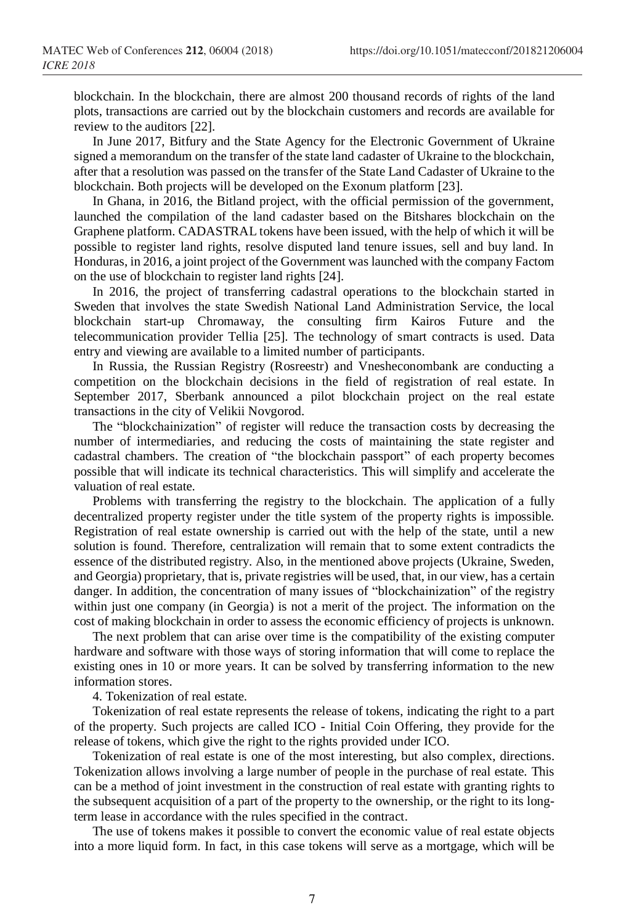blockchain. In the blockchain, there are almost 200 thousand records of rights of the land plots, transactions are carried out by the blockchain customers and records are available for review to the auditors [22].

In June 2017, Bitfury and the State Agency for the Electronic Government of Ukraine signed a memorandum on the transfer of the state land cadaster of Ukraine to the blockchain, after that a resolution was passed on the transfer of the State Land Cadaster of Ukraine to the blockchain. Both projects will be developed on the Exonum platform [23].

In Ghana, in 2016, the Bitland project, with the official permission of the government, launched the compilation of the land cadaster based on the Bitshares blockchain on the Graphene platform. CADASTRAL tokens have been issued, with the help of which it will be possible to register land rights, resolve disputed land tenure issues, sell and buy land. In Honduras,in 2016, a joint project of the Government was launched with the company Factom on the use of blockchain to register land rights [24].

In 2016, the project of transferring cadastral operations to the blockchain started in Sweden that involves the state Swedish National Land Administration Service, the local blockchain start-up Chromaway, the consulting firm Kairos Future and the telecommunication provider Tellia [25]. The technology of smart contracts is used. Data entry and viewing are available to a limited number of participants.

In Russia, the Russian Registry (Rosreestr) and Vnesheconombank are conducting a competition on the blockchain decisions in the field of registration of real estate. In September 2017, Sberbank announced a pilot blockchain project on the real estate transactions in the city of Velikii Novgorod.

The "blockchainization" of register will reduce the transaction costs by decreasing the number of intermediaries, and reducing the costs of maintaining the state register and cadastral chambers. The creation of "the blockchain passport" of each property becomes possible that will indicate its technical characteristics. This will simplify and accelerate the valuation of real estate.

Problems with transferring the registry to the blockchain. The application of a fully decentralized property register under the title system of the property rights is impossible. Registration of real estate ownership is carried out with the help of the state, until a new solution is found. Therefore, centralization will remain that to some extent contradicts the essence of the distributed registry. Also, in the mentioned above projects (Ukraine, Sweden, and Georgia) proprietary, that is, private registries will be used, that, in our view, has a certain danger. In addition, the concentration of many issues of "blockchainization" of the registry within just one company (in Georgia) is not a merit of the project. The information on the cost of making blockchain in order to assess the economic efficiency of projects is unknown.

The next problem that can arise over time is the compatibility of the existing computer hardware and software with those ways of storing information that will come to replace the existing ones in 10 or more years. It can be solved by transferring information to the new information stores.

4. Tokenization of real estate.

Tokenization of real estate represents the release of tokens, indicating the right to a part of the property. Such projects are called ICO - Initial Coin Offering, they provide for the release of tokens, which give the right to the rights provided under ICO.

Tokenization of real estate is one of the most interesting, but also complex, directions. Tokenization allows involving a large number of people in the purchase of real estate. This can be a method of joint investment in the construction of real estate with granting rights to the subsequent acquisition of a part of the property to the ownership, or the right to its longterm lease in accordance with the rules specified in the contract.

The use of tokens makes it possible to convert the economic value of real estate objects into a more liquid form. In fact, in this case tokens will serve as a mortgage, which will be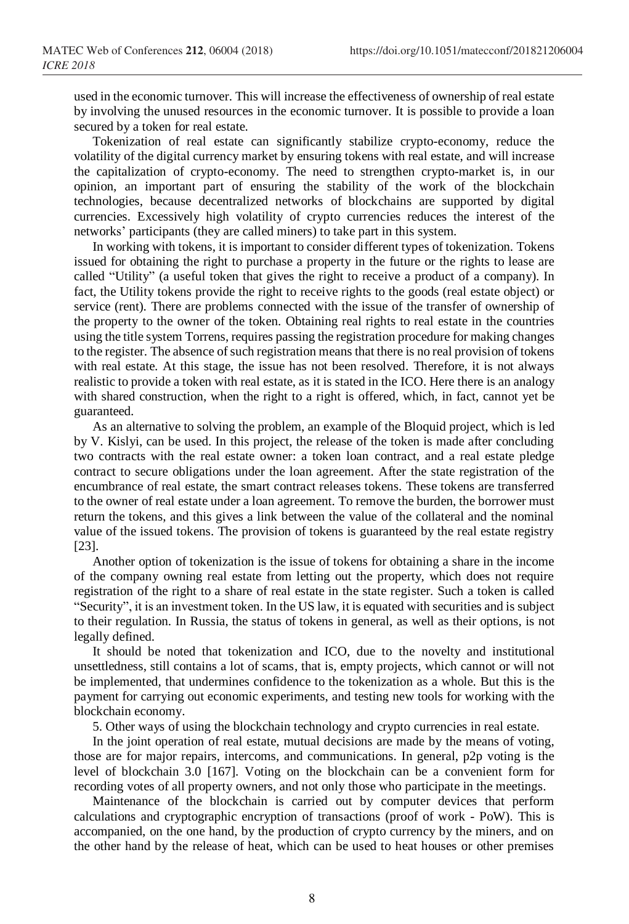used in the economic turnover. This will increase the effectiveness of ownership of real estate by involving the unused resources in the economic turnover. It is possible to provide a loan secured by a token for real estate.

Tokenization of real estate can significantly stabilize crypto-economy, reduce the volatility of the digital currency market by ensuring tokens with real estate, and will increase the capitalization of crypto-economy. The need to strengthen crypto-market is, in our opinion, an important part of ensuring the stability of the work of the blockchain technologies, because decentralized networks of blockchains are supported by digital currencies. Excessively high volatility of crypto currencies reduces the interest of the networks' participants (they are called miners) to take part in this system.

In working with tokens, it is important to consider different types of tokenization. Tokens issued for obtaining the right to purchase a property in the future or the rights to lease are called "Utility" (a useful token that gives the right to receive a product of a company). In fact, the Utility tokens provide the right to receive rights to the goods (real estate object) or service (rent). There are problems connected with the issue of the transfer of ownership of the property to the owner of the token. Obtaining real rights to real estate in the countries using the title system Torrens, requires passing the registration procedure for making changes to the register. The absence of such registration means that there is no real provision of tokens with real estate. At this stage, the issue has not been resolved. Therefore, it is not always realistic to provide a token with real estate, as it is stated in the ICO. Here there is an analogy with shared construction, when the right to a right is offered, which, in fact, cannot yet be guaranteed.

As an alternative to solving the problem, an example of the Bloquid project, which is led by V. Kislyi, can be used. In this project, the release of the token is made after concluding two contracts with the real estate owner: a token loan contract, and a real estate pledge contract to secure obligations under the loan agreement. After the state registration of the encumbrance of real estate, the smart contract releases tokens. These tokens are transferred to the owner of real estate under a loan agreement. To remove the burden, the borrower must return the tokens, and this gives a link between the value of the collateral and the nominal value of the issued tokens. The provision of tokens is guaranteed by the real estate registry [23].

Another option of tokenization is the issue of tokens for obtaining a share in the income of the company owning real estate from letting out the property, which does not require registration of the right to a share of real estate in the state register. Such a token is called "Security", it is an investment token. In the US law, it is equated with securities and is subject to their regulation. In Russia, the status of tokens in general, as well as their options, is not legally defined.

It should be noted that tokenization and ICO, due to the novelty and institutional unsettledness, still contains a lot of scams, that is, empty projects, which cannot or will not be implemented, that undermines confidence to the tokenization as a whole. But this is the payment for carrying out economic experiments, and testing new tools for working with the blockchain economy.

5. Other ways of using the blockchain technology and crypto currencies in real estate.

In the joint operation of real estate, mutual decisions are made by the means of voting, those are for major repairs, intercoms, and communications. In general, p2p voting is the level of blockchain 3.0 [167]. Voting on the blockchain can be a convenient form for recording votes of all property owners, and not only those who participate in the meetings.

Maintenance of the blockchain is carried out by computer devices that perform calculations and cryptographic encryption of transactions (proof of work - PoW). This is accompanied, on the one hand, by the production of crypto currency by the miners, and on the other hand by the release of heat, which can be used to heat houses or other premises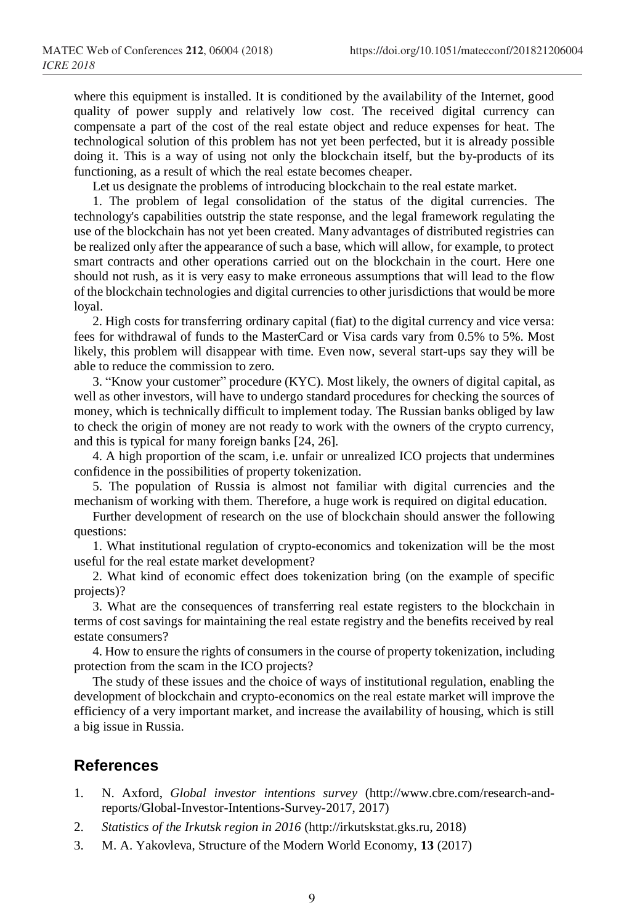where this equipment is installed. It is conditioned by the availability of the Internet, good quality of power supply and relatively low cost. The received digital currency can compensate a part of the cost of the real estate object and reduce expenses for heat. The technological solution of this problem has not yet been perfected, but it is already possible doing it. This is a way of using not only the blockchain itself, but the by-products of its functioning, as a result of which the real estate becomes cheaper.

Let us designate the problems of introducing blockchain to the real estate market.

1. The problem of legal consolidation of the status of the digital currencies. The technology's capabilities outstrip the state response, and the legal framework regulating the use of the blockchain has not yet been created. Many advantages of distributed registries can be realized only after the appearance of such a base, which will allow, for example, to protect smart contracts and other operations carried out on the blockchain in the court. Here one should not rush, as it is very easy to make erroneous assumptions that will lead to the flow of the blockchain technologies and digital currencies to other jurisdictions that would be more loyal.

2. High costs for transferring ordinary capital (fiat) to the digital currency and vice versa: fees for withdrawal of funds to the MasterCard or Visa cards vary from 0.5% to 5%. Most likely, this problem will disappear with time. Even now, several start-ups say they will be able to reduce the commission to zero.

3. "Know your customer" procedure (KYC). Most likely, the owners of digital capital, as well as other investors, will have to undergo standard procedures for checking the sources of money, which is technically difficult to implement today. The Russian banks obliged by law to check the origin of money are not ready to work with the owners of the crypto currency, and this is typical for many foreign banks [24, 26].

4. A high proportion of the scam, i.e. unfair or unrealized ICO projects that undermines confidence in the possibilities of property tokenization.

5. The population of Russia is almost not familiar with digital currencies and the mechanism of working with them. Therefore, a huge work is required on digital education.

Further development of research on the use of blockchain should answer the following questions:

1. What institutional regulation of crypto-economics and tokenization will be the most useful for the real estate market development?

2. What kind of economic effect does tokenization bring (on the example of specific projects)?

3. What are the consequences of transferring real estate registers to the blockchain in terms of cost savings for maintaining the real estate registry and the benefits received by real estate consumers?

4. How to ensure the rights of consumers in the course of property tokenization, including protection from the scam in the ICO projects?

The study of these issues and the choice of ways of institutional regulation, enabling the development of blockchain and crypto-economics on the real estate market will improve the efficiency of a very important market, and increase the availability of housing, which is still a big issue in Russia.

## **References**

- 1. N. Axford, *Global investor intentions survey* (http://www.cbre.com/research-andreports/Global-Investor-Intentions-Survey-2017, 2017)
- 2. *Statistics of the Irkutsk region in 2016* (http://irkutskstat.gks.ru, 2018)
- 3. M. A. Yakovleva, Structure of the Modern World Economy, **13** (2017)